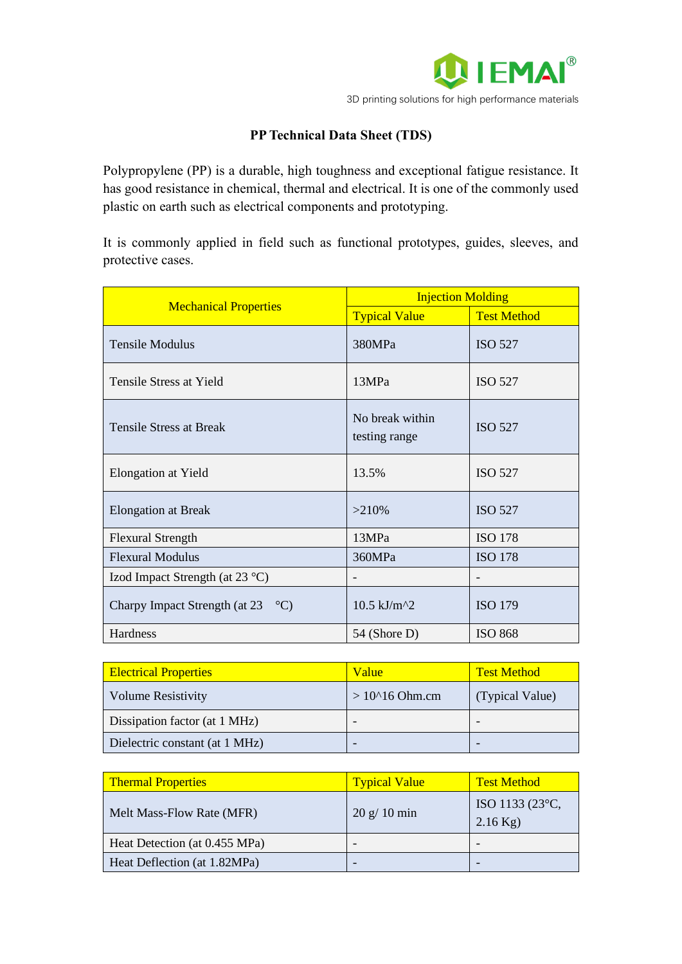

## **PP Technical Data Sheet (TDS)**

Polypropylene (PP) is a durable, high toughness and exceptional fatigue resistance. It has good resistance in chemical, thermal and electrical. It is one of the commonly used plastic on earth such as electrical components and prototyping.

It is commonly applied in field such as functional prototypes, guides, sleeves, and protective cases.

| <b>Mechanical Properties</b>               | <b>Injection Molding</b>                      |                    |
|--------------------------------------------|-----------------------------------------------|--------------------|
|                                            | <b>Typical Value</b>                          | <b>Test Method</b> |
| <b>Tensile Modulus</b>                     | 380MPa                                        | <b>ISO 527</b>     |
| Tensile Stress at Yield                    | 13MPa                                         | <b>ISO 527</b>     |
| <b>Tensile Stress at Break</b>             | No break within<br>testing range              | <b>ISO 527</b>     |
| <b>Elongation at Yield</b>                 | 13.5%                                         | <b>ISO 527</b>     |
| <b>Elongation at Break</b>                 | >210%                                         | <b>ISO 527</b>     |
| <b>Flexural Strength</b>                   | 13MPa                                         | <b>ISO 178</b>     |
| <b>Flexural Modulus</b>                    | 360MPa                                        | <b>ISO 178</b>     |
| Izod Impact Strength (at $23^{\circ}$ C)   |                                               |                    |
| Charpy Impact Strength (at $23^{\circ}$ C) | $10.5$ kJ/m <sup><math>\text{A}</math>2</sup> | <b>ISO 179</b>     |
| Hardness                                   | 54 (Shore D)                                  | <b>ISO 868</b>     |

| <b>Electrical Properties</b>   | Value               | <b>Test Method</b> |
|--------------------------------|---------------------|--------------------|
| <b>Volume Resistivity</b>      | $>10^{4}$ 16 Ohm.cm | (Typical Value)    |
| Dissipation factor (at 1 MHz)  |                     |                    |
| Dielectric constant (at 1 MHz) |                     |                    |

| <b>Thermal Properties</b>     | <b>Typical Value</b> | <b>Test Method</b>            |
|-------------------------------|----------------------|-------------------------------|
| Melt Mass-Flow Rate (MFR)     | 20 g/10 min          | ISO 1133 (23°C,<br>$2.16$ Kg) |
| Heat Detection (at 0.455 MPa) |                      |                               |
| Heat Deflection (at 1.82MPa)  |                      |                               |